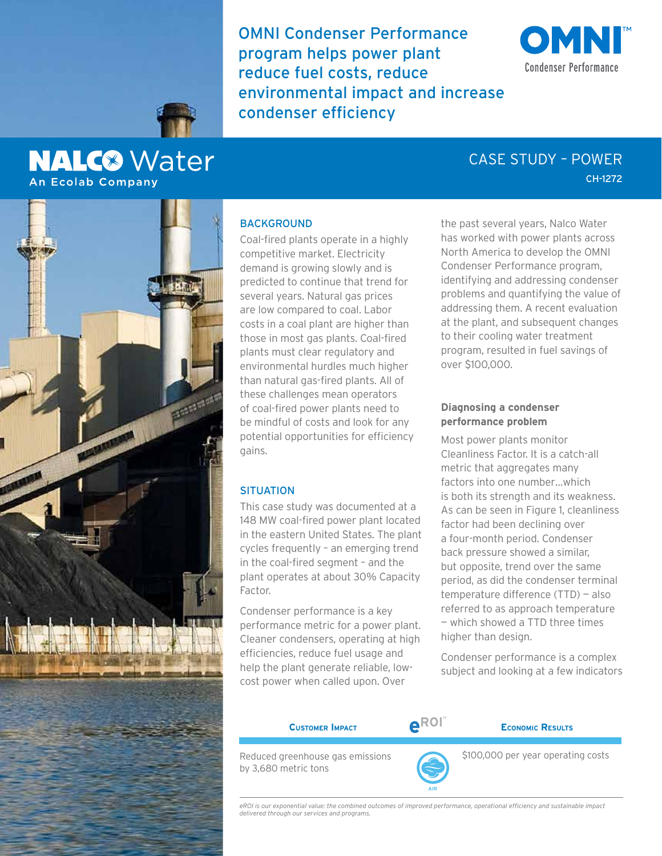OMNI Condenser Performance program helps power plant reduce fuel costs, reduce environmental impact and increase condenser efficiency





# **NALC<sup>®</sup>** Water **An Ecolab Company**

# CH-1272 CASE STUDY – POWER



## **BACKGROUND**

Coal-fired plants operate in a highly competitive market. Electricity demand is growing slowly and is predicted to continue that trend for several years. Natural gas prices are low compared to coal. Labor costs in a coal plant are higher than those in most gas plants. Coal-fired plants must clear regulatory and environmental hurdles much higher than natural gas-fired plants. All of these challenges mean operators of coal-fired power plants need to be mindful of costs and look for any potential opportunities for efficiency gains.

#### **SITUATION**

This case study was documented at a 148 MW coal-fired power plant located in the eastern United States. The plant cycles frequently – an emerging trend in the coal-fired segment – and the plant operates at about 30% Capacity Factor.

Condenser performance is a key performance metric for a power plant. Cleaner condensers, operating at high efficiencies, reduce fuel usage and help the plant generate reliable, lowcost power when called upon. Over

the past several years, Nalco Water has worked with power plants across North America to develop the OMNI Condenser Performance program, identifying and addressing condenser problems and quantifying the value of addressing them. A recent evaluation at the plant, and subsequent changes to their cooling water treatment program, resulted in fuel savings of over \$100,000.

# **Diagnosing a condenser performance problem**

Most power plants monitor Cleanliness Factor. It is a catch-all metric that aggregates many factors into one number…which is both its strength and its weakness. As can be seen in Figure 1, cleanliness factor had been declining over a four-month period. Condenser back pressure showed a similar, but opposite, trend over the same period, as did the condenser terminal temperature difference (TTD) — also referred to as approach temperature — which showed a TTD three times higher than design.

Condenser performance is a complex subject and looking at a few indicators



*eROI is our exponential value: the combined outcomes of improved performance, operational efficiency and sustainable impact delivered through our services and programs.*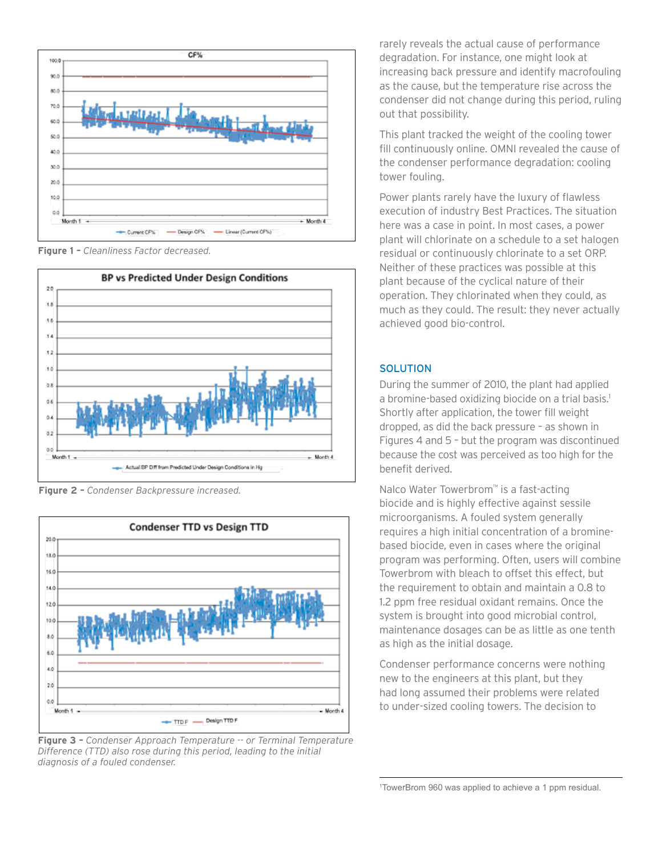

**Figure 1 –** *Cleanliness Factor decreased.*



**Figure 2 –** *Condenser Backpressure increased.*



**Figure 3 –** *Condenser Approach Temperature -- or Terminal Temperature Difference (TTD) also rose during this period, leading to the initial diagnosis of a fouled condenser.*

rarely reveals the actual cause of performance degradation. For instance, one might look at increasing back pressure and identify macrofouling as the cause, but the temperature rise across the condenser did not change during this period, ruling out that possibility.

This plant tracked the weight of the cooling tower fill continuously online. OMNI revealed the cause of the condenser performance degradation: cooling tower fouling.

Power plants rarely have the luxury of flawless execution of industry Best Practices. The situation here was a case in point. In most cases, a power plant will chlorinate on a schedule to a set halogen residual or continuously chlorinate to a set ORP. Neither of these practices was possible at this plant because of the cyclical nature of their operation. They chlorinated when they could, as much as they could. The result: they never actually achieved good bio-control.

### **SOLUTION**

During the summer of 2010, the plant had applied a bromine-based oxidizing biocide on a trial basis.<sup>1</sup> Shortly after application, the tower fill weight dropped, as did the back pressure – as shown in Figures 4 and 5 – but the program was discontinued because the cost was perceived as too high for the benefit derived.

Nalco Water Towerbrom™ is a fast-acting biocide and is highly effective against sessile microorganisms. A fouled system generally requires a high initial concentration of a brominebased biocide, even in cases where the original program was performing. Often, users will combine Towerbrom with bleach to offset this effect, but the requirement to obtain and maintain a 0.8 to 1.2 ppm free residual oxidant remains. Once the system is brought into good microbial control, maintenance dosages can be as little as one tenth as high as the initial dosage.

Condenser performance concerns were nothing new to the engineers at this plant, but they had long assumed their problems were related to under-sized cooling towers. The decision to

1 TowerBrom 960 was applied to achieve a 1 ppm residual.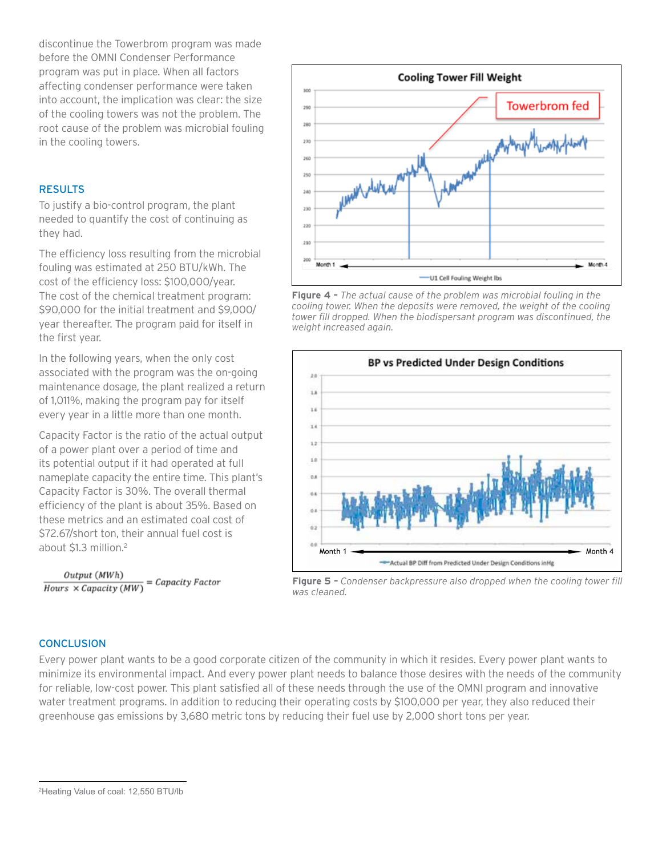discontinue the Towerbrom program was made before the OMNI Condenser Performance program was put in place. When all factors affecting condenser performance were taken into account, the implication was clear: the size of the cooling towers was not the problem. The root cause of the problem was microbial fouling in the cooling towers.

## **RESULTS**

To justify a bio-control program, the plant needed to quantify the cost of continuing as they had.

The efficiency loss resulting from the microbial fouling was estimated at 250 BTU/kWh. The cost of the efficiency loss: \$100,000/year. The cost of the chemical treatment program: \$90,000 for the initial treatment and \$9,000/ year thereafter. The program paid for itself in the first year.

In the following years, when the only cost associated with the program was the on-going maintenance dosage, the plant realized a return of 1,011%, making the program pay for itself every year in a little more than one month.

Capacity Factor is the ratio of the actual output of a power plant over a period of time and its potential output if it had operated at full nameplate capacity the entire time. This plant's Capacity Factor is 30%. The overall thermal efficiency of the plant is about 35%. Based on these metrics and an estimated coal cost of \$72.67/short ton, their annual fuel cost is about \$1.3 million.<sup>2</sup>

Output (MWh)  $\frac{Output (MWh)}{Hours \times Capacity (MW)} = Capacity Factor$ 



**Figure 4 –** *The actual cause of the problem was microbial fouling in the cooling tower. When the deposits were removed, the weight of the cooling tower fill dropped. When the biodispersant program was discontinued, the weight increased again.*



**Figure 5 –** *Condenser backpressure also dropped when the cooling tower fill was cleaned.*

#### **CONCLUSION**

Every power plant wants to be a good corporate citizen of the community in which it resides. Every power plant wants to minimize its environmental impact. And every power plant needs to balance those desires with the needs of the community for reliable, low-cost power. This plant satisfied all of these needs through the use of the OMNI program and innovative water treatment programs. In addition to reducing their operating costs by \$100,000 per year, they also reduced their greenhouse gas emissions by 3,680 metric tons by reducing their fuel use by 2,000 short tons per year.

<sup>2</sup> Heating Value of coal: 12,550 BTU/lb